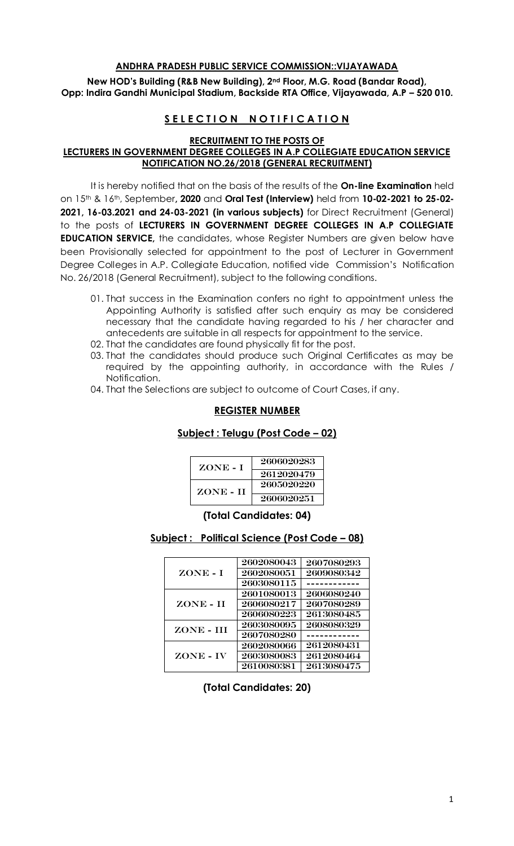#### **ANDHRA PRADESH PUBLIC SERVICE COMMISSION::VIJAYAWADA**

**New HOD's Building (R&B New Building), 2nd Floor, M.G. Road (Bandar Road), Opp: Indira Gandhi Municipal Stadium, Backside RTA Office, Vijayawada, A.P – 520 010.** 

# **SELECTION NOTIFICATION**

## **RECRUITMENT TO THE POSTS OF**

# **LECTURERS IN GOVERNMENT DEGREE COLLEGES IN A.P COLLEGIATE EDUCATION SERVICE NOTIFICATION NO.26/2018 (GENERAL RECRUITMENT)**

It is hereby notified that on the basis of the results of the **On-line Examination** held on 15th & 16th, September**, 2020** and **Oral Test (Interview)** held from **10-02-2021 to 25-02- 2021, 16-03.2021 and 24-03-2021 (in various subjects)** for Direct Recruitment (General) to the posts of **LECTURERS IN GOVERNMENT DEGREE COLLEGES IN A.P COLLEGIATE EDUCATION SERVICE,** the candidates, whose Register Numbers are given below have been Provisionally selected for appointment to the post of Lecturer in Government Degree Colleges in A.P. Collegiate Education, notified vide Commission's Notification No. 26/2018 (General Recruitment), subject to the following conditions.

- 01. That success in the Examination confers no right to appointment unless the Appointing Authority is satisfied after such enquiry as may be considered necessary that the candidate having regarded to his / her character and antecedents are suitable in all respects for appointment to the service.
- 02. That the candidates are found physically fit for the post.
- 03. That the candidates should produce such Original Certificates as may be required by the appointing authority, in accordance with the Rules / Notification.
- 04. That the Selections are subject to outcome of Court Cases, if any.

## **REGISTER NUMBER**

#### **Subject : Telugu (Post Code – 02)**

| ZONE - I  | 2606020283 |
|-----------|------------|
|           | 2612020479 |
| ZONE - II | 2605020220 |
|           | 2606020251 |

#### **(Total Candidates: 04)**

#### **Subject : Political Science (Post Code – 08)**

| ZONE - I   | 2602080043 | 2607080293 |
|------------|------------|------------|
|            | 2602080051 | 2609080342 |
|            | 2603080115 |            |
| ZONE - II  | 2601080013 | 2606080240 |
|            | 2606080217 | 2607080289 |
|            | 2606080223 | 2613080485 |
| ZONE - III | 2603080095 | 2608080329 |
|            | 2607080280 |            |
| ZONE - IV  | 2602080066 | 2612080431 |
|            | 2603080083 | 2612080464 |
|            | 2610080381 | 2613080475 |

**(Total Candidates: 20)**